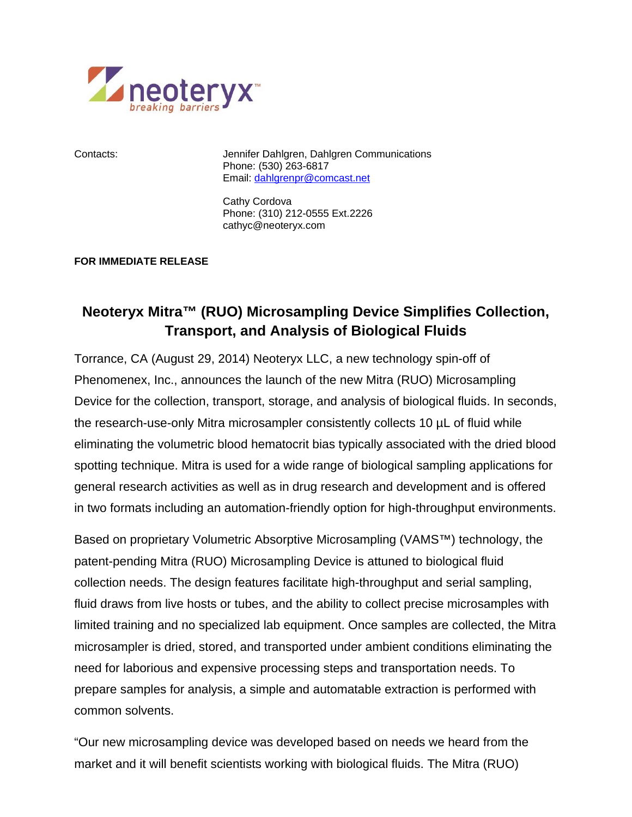

Contacts: Jennifer Dahlgren, Dahlgren Communications Phone: (530) 263-6817 Email: dahlgrenpr@comcast.net

> Cathy Cordova Phone: (310) 212-0555 Ext.2226 cathyc@neoteryx.com

## **FOR IMMEDIATE RELEASE**

## **Neoteryx Mitra™ (RUO) Microsampling Device Simplifies Collection, Transport, and Analysis of Biological Fluids**

Torrance, CA (August 29, 2014) Neoteryx LLC, a new technology spin-off of Phenomenex, Inc., announces the launch of the new Mitra (RUO) Microsampling Device for the collection, transport, storage, and analysis of biological fluids. In seconds, the research-use-only Mitra microsampler consistently collects 10 µL of fluid while eliminating the volumetric blood hematocrit bias typically associated with the dried blood spotting technique. Mitra is used for a wide range of biological sampling applications for general research activities as well as in drug research and development and is offered in two formats including an automation-friendly option for high-throughput environments.

Based on proprietary Volumetric Absorptive Microsampling (VAMS™) technology, the patent-pending Mitra (RUO) Microsampling Device is attuned to biological fluid collection needs. The design features facilitate high-throughput and serial sampling, fluid draws from live hosts or tubes, and the ability to collect precise microsamples with limited training and no specialized lab equipment. Once samples are collected, the Mitra microsampler is dried, stored, and transported under ambient conditions eliminating the need for laborious and expensive processing steps and transportation needs. To prepare samples for analysis, a simple and automatable extraction is performed with common solvents.

"Our new microsampling device was developed based on needs we heard from the market and it will benefit scientists working with biological fluids. The Mitra (RUO)